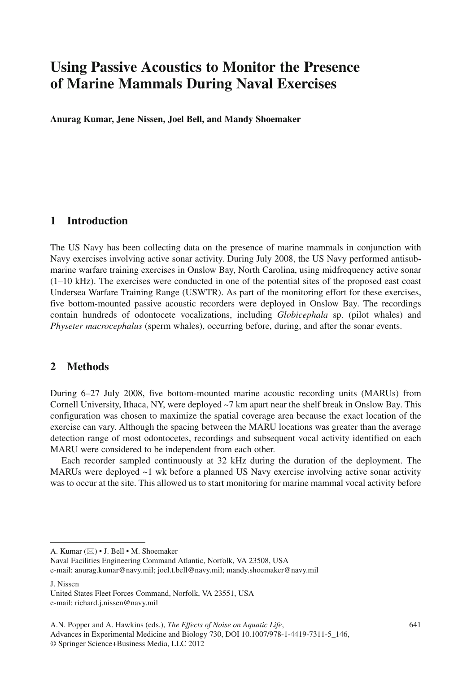# **Using Passive Acoustics to Monitor the Presence of Marine Mammals During Naval Exercises**

 **Anurag Kumar, Jene Nissen, Joel Bell, and Mandy Shoemaker** 

#### **1 Introduction**

 The US Navy has been collecting data on the presence of marine mammals in conjunction with Navy exercises involving active sonar activity. During July 2008, the US Navy performed antisubmarine warfare training exercises in Onslow Bay, North Carolina, using midfrequency active sonar (1–10 kHz). The exercises were conducted in one of the potential sites of the proposed east coast Undersea Warfare Training Range (USWTR). As part of the monitoring effort for these exercises, five bottom-mounted passive acoustic recorders were deployed in Onslow Bay. The recordings contain hundreds of odontocete vocalizations, including *Globicephala* sp. (pilot whales) and *Physeter macrocephalus* (sperm whales), occurring before, during, and after the sonar events.

### **2 Methods**

 During 6–27 July 2008, five bottom-mounted marine acoustic recording units (MARUs) from Cornell University, Ithaca, NY, were deployed ~7 km apart near the shelf break in Onslow Bay. This configuration was chosen to maximize the spatial coverage area because the exact location of the exercise can vary. Although the spacing between the MARU locations was greater than the average detection range of most odontocetes, recordings and subsequent vocal activity identified on each MARU were considered to be independent from each other.

 Each recorder sampled continuously at 32 kHz during the duration of the deployment. The MARUs were deployed ~1 wk before a planned US Navy exercise involving active sonar activity was to occur at the site. This allowed us to start monitoring for marine mammal vocal activity before

J. Nissen

A. Kumar ( $\boxtimes$ ) • J. Bell • M. Shoemaker

Naval Facilities Engineering Command Atlantic, Norfolk, VA 23508, USA e-mail: anurag.kumar@navy.mil; joel.t.bell@navy.mil; mandy.shoemaker@navy.mil

United States Fleet Forces Command, Norfolk, VA 23551, USA e-mail: richard.j.nissen@navy.mil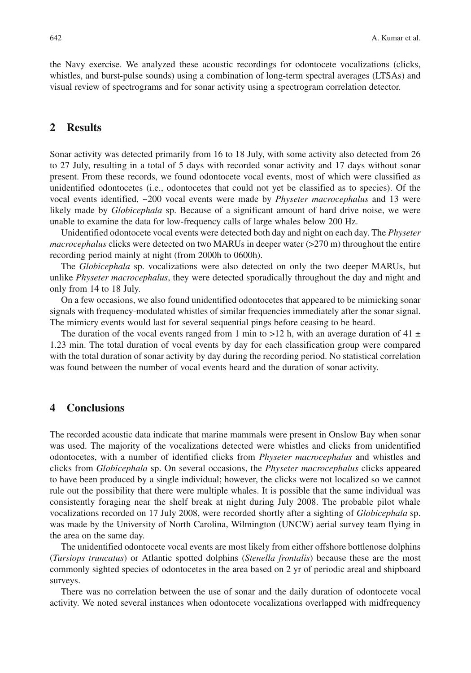the Navy exercise. We analyzed these acoustic recordings for odontocete vocalizations (clicks, whistles, and burst-pulse sounds) using a combination of long-term spectral averages (LTSAs) and visual review of spectrograms and for sonar activity using a spectrogram correlation detector.

## **2 Results**

 Sonar activity was detected primarily from 16 to 18 July, with some activity also detected from 26 to 27 July, resulting in a total of 5 days with recorded sonar activity and 17 days without sonar present. From these records, we found odontocete vocal events, most of which were classified as unidentified odontocetes (i.e., odontocetes that could not yet be classified as to species). Of the vocal events identified, ~200 vocal events were made by *Physeter macrocephalus* and 13 were likely made by *Globicephala* sp. Because of a significant amount of hard drive noise, we were unable to examine the data for low-frequency calls of large whales below 200 Hz.

 Unidentified odontocete vocal events were detected both day and night on each day. The *Physeter macrocephalus* clicks were detected on two MARUs in deeper water (>270 m) throughout the entire recording period mainly at night (from 2000h to 0600h).

 The *Globicephala* sp. vocalizations were also detected on only the two deeper MARUs, but unlike *Physeter macrocephalus* , they were detected sporadically throughout the day and night and only from 14 to 18 July.

 On a few occasions, we also found unidentified odontocetes that appeared to be mimicking sonar signals with frequency-modulated whistles of similar frequencies immediately after the sonar signal. The mimicry events would last for several sequential pings before ceasing to be heard.

The duration of the vocal events ranged from 1 min to >12 h, with an average duration of 41  $\pm$ 1.23 min. The total duration of vocal events by day for each classification group were compared with the total duration of sonar activity by day during the recording period. No statistical correlation was found between the number of vocal events heard and the duration of sonar activity.

#### **4 Conclusions**

 The recorded acoustic data indicate that marine mammals were present in Onslow Bay when sonar was used. The majority of the vocalizations detected were whistles and clicks from unidentified odontocetes, with a number of identified clicks from *Physeter macrocephalus* and whistles and clicks from *Globicephala* sp. On several occasions, the *Physeter macrocephalus* clicks appeared to have been produced by a single individual; however, the clicks were not localized so we cannot rule out the possibility that there were multiple whales. It is possible that the same individual was consistently foraging near the shelf break at night during July 2008. The probable pilot whale vocalizations recorded on 17 July 2008, were recorded shortly after a sighting of *Globicephala* sp. was made by the University of North Carolina, Wilmington (UNCW) aerial survey team flying in the area on the same day.

 The unidentified odontocete vocal events are most likely from either offshore bottlenose dolphins ( *Tursiops truncatus* ) or Atlantic spotted dolphins ( *Stenella frontalis* ) because these are the most commonly sighted species of odontocetes in the area based on 2 yr of periodic areal and shipboard surveys.

 There was no correlation between the use of sonar and the daily duration of odontocete vocal activity. We noted several instances when odontocete vocalizations overlapped with midfrequency